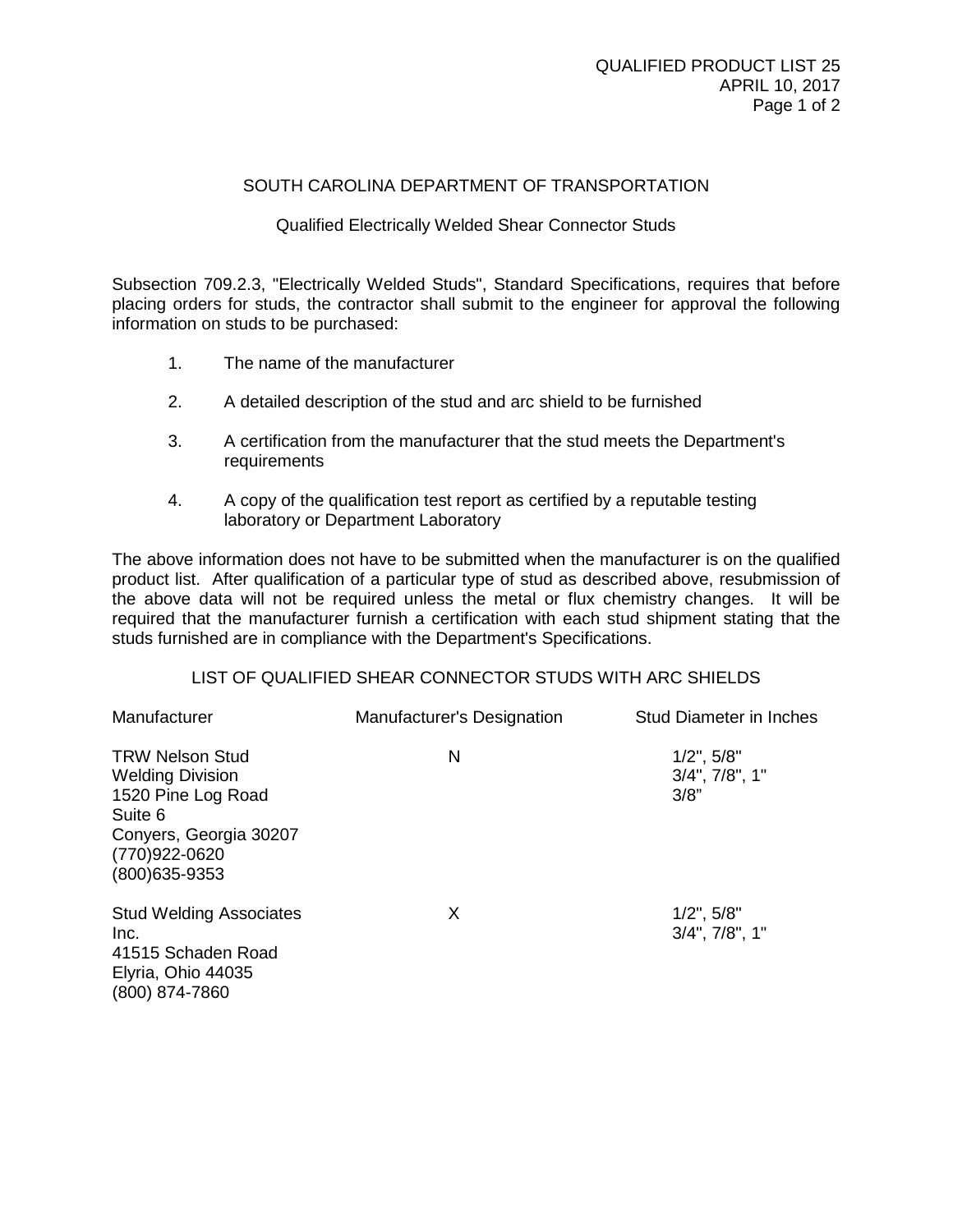## SOUTH CAROLINA DEPARTMENT OF TRANSPORTATION

## Qualified Electrically Welded Shear Connector Studs

Subsection 709.2.3, "Electrically Welded Studs", Standard Specifications, requires that before placing orders for studs, the contractor shall submit to the engineer for approval the following information on studs to be purchased:

- 1. The name of the manufacturer
- 2. A detailed description of the stud and arc shield to be furnished
- 3. A certification from the manufacturer that the stud meets the Department's requirements
- 4. A copy of the qualification test report as certified by a reputable testing laboratory or Department Laboratory

The above information does not have to be submitted when the manufacturer is on the qualified product list. After qualification of a particular type of stud as described above, resubmission of the above data will not be required unless the metal or flux chemistry changes. It will be required that the manufacturer furnish a certification with each stud shipment stating that the studs furnished are in compliance with the Department's Specifications.

## LIST OF QUALIFIED SHEAR CONNECTOR STUDS WITH ARC SHIELDS

| Manufacturer                                                                                                                                    | Manufacturer's Designation | <b>Stud Diameter in Inches</b>                   |
|-------------------------------------------------------------------------------------------------------------------------------------------------|----------------------------|--------------------------------------------------|
| <b>TRW Nelson Stud</b><br><b>Welding Division</b><br>1520 Pine Log Road<br>Suite 6<br>Conyers, Georgia 30207<br>(770)922-0620<br>(800) 635-9353 | N                          | $1/2$ ", $5/8$ "<br>$3/4$ ", $7/8$ ", 1"<br>3/8" |
| <b>Stud Welding Associates</b><br>Inc.<br>41515 Schaden Road<br>Elyria, Ohio 44035<br>(800) 874-7860                                            | X                          | $1/2$ ", $5/8$ "<br>$3/4$ ", $7/8$ ", $1$ "      |